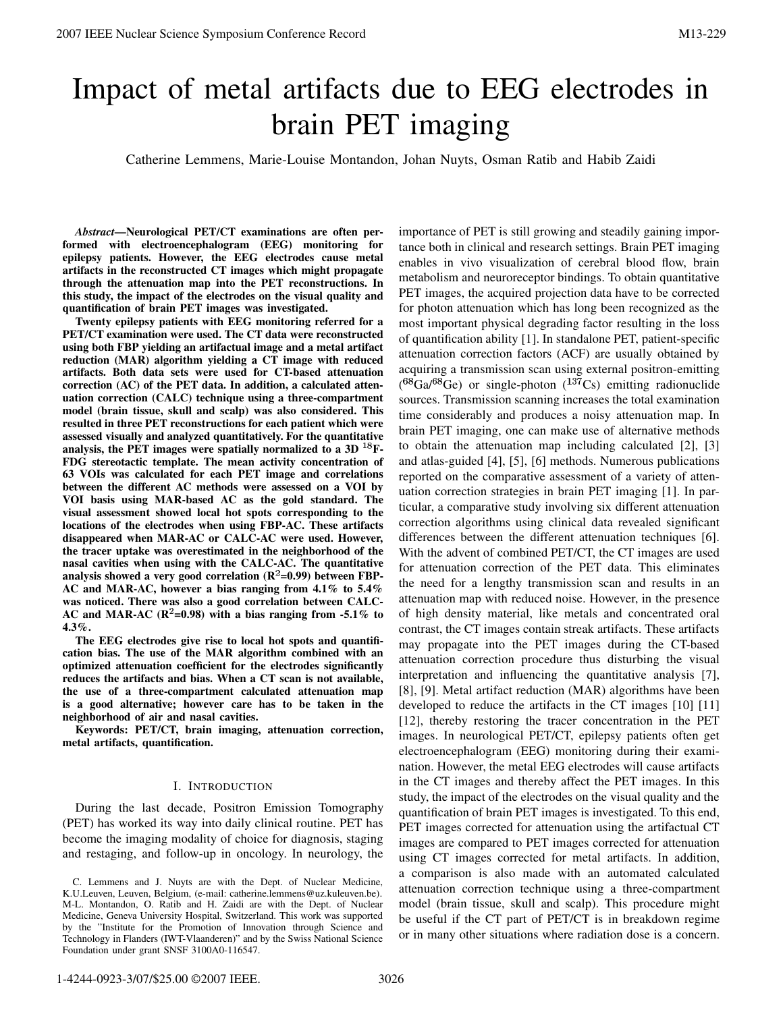# Impact of metal artifacts due to EEG electrodes in brain PET imaging

Catherine Lemmens, Marie-Louise Montandon, Johan Nuyts, Osman Ratib and Habib Zaidi

*Abstract***—Neurological PET/CT examinations are often performed with electroencephalogram (EEG) monitoring for epilepsy patients. However, the EEG electrodes cause metal artifacts in the reconstructed CT images which might propagate through the attenuation map into the PET reconstructions. In this study, the impact of the electrodes on the visual quality and quantification of brain PET images was investigated.**

**Twenty epilepsy patients with EEG monitoring referred for a PET/CT examination were used. The CT data were reconstructed using both FBP yielding an artifactual image and a metal artifact reduction (MAR) algorithm yielding a CT image with reduced artifacts. Both data sets were used for CT-based attenuation correction (AC) of the PET data. In addition, a calculated attenuation correction (CALC) technique using a three-compartment model (brain tissue, skull and scalp) was also considered. This resulted in three PET reconstructions for each patient which were assessed visually and analyzed quantitatively. For the quantitative analysis, the PET images were spatially normalized to a 3D F-FDG stereotactic template. The mean activity concentration of 63 VOIs was calculated for each PET image and correlations between the different AC methods were assessed on a VOI by VOI basis using MAR-based AC as the gold standard. The visual assessment showed local hot spots corresponding to the locations of the electrodes when using FBP-AC. These artifacts disappeared when MAR-AC or CALC-AC were used. However, the tracer uptake was overestimated in the neighborhood of the nasal cavities when using with the CALC-AC. The quantitative** analysis showed a very good correlation  $(R^2=0.99)$  between FBP-**AC and MAR-AC, however a bias ranging from 4.1% to 5.4% was noticed. There was also a good correlation between CALC-**AC and MAR-AC  $(R^2=0.98)$  with a bias ranging from  $-5.1\%$  to **4.3%.**

**The EEG electrodes give rise to local hot spots and quantification bias. The use of the MAR algorithm combined with an optimized attenuation coefficient for the electrodes significantly reduces the artifacts and bias. When a CT scan is not available, the use of a three-compartment calculated attenuation map is a good alternative; however care has to be taken in the neighborhood of air and nasal cavities.**

**Keywords: PET/CT, brain imaging, attenuation correction, metal artifacts, quantification.**

## I. INTRODUCTION

During the last decade, Positron Emission Tomography (PET) has worked its way into daily clinical routine. PET has become the imaging modality of choice for diagnosis, staging and restaging, and follow-up in oncology. In neurology, the

importance of PET is still growing and steadily gaining importance both in clinical and research settings. Brain PET imaging enables in vivo visualization of cerebral blood flow, brain metabolism and neuroreceptor bindings. To obtain quantitative PET images, the acquired projection data have to be corrected for photon attenuation which has long been recognized as the most important physical degrading factor resulting in the loss of quantification ability [1]. In standalone PET, patient-specific attenuation correction factors (ACF) are usually obtained by acquiring a transmission scan using external positron-emitting  $( {^{68}Ga}/{^{68}Ge})$  or single-photon  $({}^{137}Cs)$  emitting radionuclide sources. Transmission scanning increases the total examination time considerably and produces a noisy attenuation map. In brain PET imaging, one can make use of alternative methods to obtain the attenuation map including calculated [2], [3] and atlas-guided [4], [5], [6] methods. Numerous publications reported on the comparative assessment of a variety of attenuation correction strategies in brain PET imaging [1]. In particular, a comparative study involving six different attenuation correction algorithms using clinical data revealed significant differences between the different attenuation techniques [6]. With the advent of combined PET/CT, the CT images are used for attenuation correction of the PET data. This eliminates the need for a lengthy transmission scan and results in an attenuation map with reduced noise. However, in the presence of high density material, like metals and concentrated oral contrast, the CT images contain streak artifacts. These artifacts may propagate into the PET images during the CT-based attenuation correction procedure thus disturbing the visual interpretation and influencing the quantitative analysis [7], [8], [9]. Metal artifact reduction (MAR) algorithms have been developed to reduce the artifacts in the CT images [10] [11] [12], thereby restoring the tracer concentration in the PET images. In neurological PET/CT, epilepsy patients often get electroencephalogram (EEG) monitoring during their examination. However, the metal EEG electrodes will cause artifacts in the CT images and thereby affect the PET images. In this study, the impact of the electrodes on the visual quality and the quantification of brain PET images is investigated. To this end, PET images corrected for attenuation using the artifactual CT images are compared to PET images corrected for attenuation using CT images corrected for metal artifacts. In addition, a comparison is also made with an automated calculated attenuation correction technique using a three-compartment model (brain tissue, skull and scalp). This procedure might be useful if the CT part of PET/CT is in breakdown regime or in many other situations where radiation dose is a concern.

C. Lemmens and J. Nuyts are with the Dept. of Nuclear Medicine, K.U.Leuven, Leuven, Belgium, (e-mail: catherine.lemmens@uz.kuleuven.be). M-L. Montandon, O. Ratib and H. Zaidi are with the Dept. of Nuclear Medicine, Geneva University Hospital, Switzerland. This work was supported by the "Institute for the Promotion of Innovation through Science and Technology in Flanders (IWT-Vlaanderen)" and by the Swiss National Science Foundation under grant SNSF 3100A0-116547.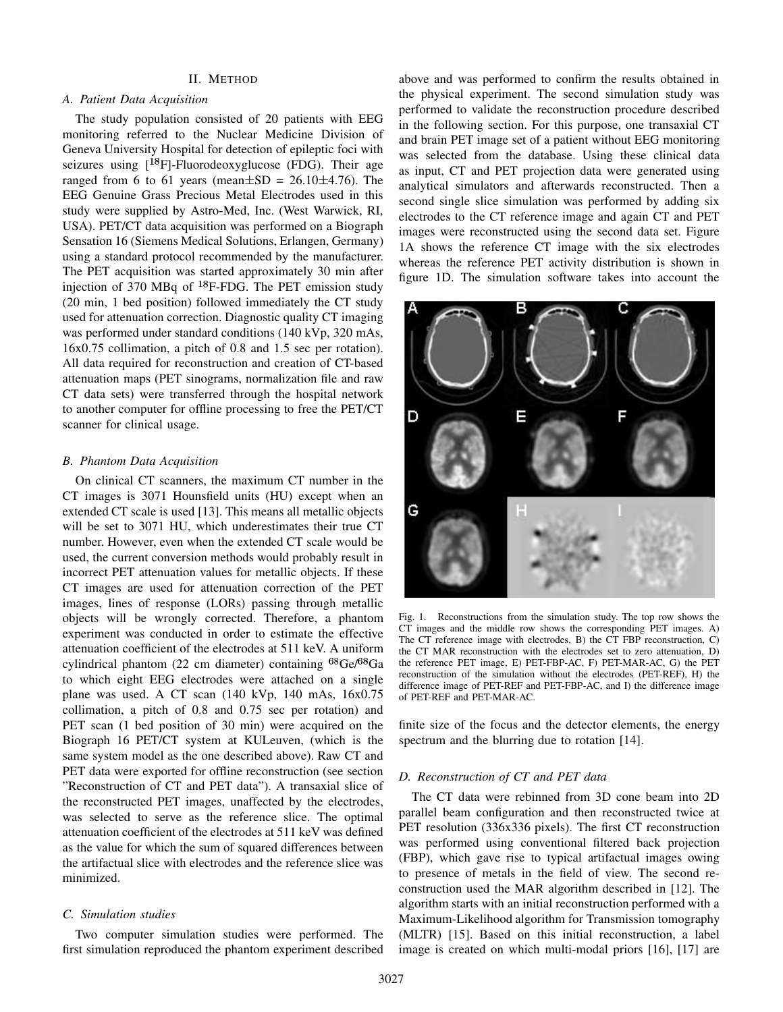# II. METHOD

# *A. Patient Data Acquisition*

The study population consisted of 20 patients with EEG monitoring referred to the Nuclear Medicine Division of Geneva University Hospital for detection of epileptic foci with seizures using  $[$ <sup>18</sup>F]-Fluorodeoxyglucose (FDG). Their age ranged from 6 to 61 years (mean $\pm$ SD = 26.10 $\pm$ 4.76). The EEG Genuine Grass Precious Metal Electrodes used in this study were supplied by Astro-Med, Inc. (West Warwick, RI, USA). PET/CT data acquisition was performed on a Biograph Sensation 16 (Siemens Medical Solutions, Erlangen, Germany) using a standard protocol recommended by the manufacturer. The PET acquisition was started approximately 30 min after injection of 370 MBq of  $^{18}$ F-FDG. The PET emission study (20 min, 1 bed position) followed immediately the CT study used for attenuation correction. Diagnostic quality CT imaging was performed under standard conditions (140 kVp, 320 mAs, 16x0.75 collimation, a pitch of 0.8 and 1.5 sec per rotation). All data required for reconstruction and creation of CT-based attenuation maps (PET sinograms, normalization file and raw CT data sets) were transferred through the hospital network to another computer for offline processing to free the PET/CT scanner for clinical usage.

#### *B. Phantom Data Acquisition*

On clinical CT scanners, the maximum CT number in the CT images is 3071 Hounsfield units (HU) except when an extended CT scale is used [13]. This means all metallic objects will be set to 3071 HU, which underestimates their true CT number. However, even when the extended CT scale would be used, the current conversion methods would probably result in incorrect PET attenuation values for metallic objects. If these CT images are used for attenuation correction of the PET images, lines of response (LORs) passing through metallic objects will be wrongly corrected. Therefore, a phantom experiment was conducted in order to estimate the effective attenuation coefficient of the electrodes at 511 keV. A uniform cylindrical phantom (22 cm diameter) containing  ${}^{68}$ Ge/ ${}^{68}$ Ga to which eight EEG electrodes were attached on a single plane was used. A CT scan (140 kVp, 140 mAs, 16x0.75 collimation, a pitch of 0.8 and 0.75 sec per rotation) and PET scan (1 bed position of 30 min) were acquired on the Biograph 16 PET/CT system at KULeuven, (which is the same system model as the one described above). Raw CT and PET data were exported for offline reconstruction (see section "Reconstruction of CT and PET data"). A transaxial slice of the reconstructed PET images, unaffected by the electrodes, was selected to serve as the reference slice. The optimal attenuation coefficient of the electrodes at 511 keV was defined as the value for which the sum of squared differences between the artifactual slice with electrodes and the reference slice was minimized.

## *C. Simulation studies*

Two computer simulation studies were performed. The first simulation reproduced the phantom experiment described above and was performed to confirm the results obtained in the physical experiment. The second simulation study was performed to validate the reconstruction procedure described in the following section. For this purpose, one transaxial CT and brain PET image set of a patient without EEG monitoring was selected from the database. Using these clinical data as input, CT and PET projection data were generated using analytical simulators and afterwards reconstructed. Then a second single slice simulation was performed by adding six electrodes to the CT reference image and again CT and PET images were reconstructed using the second data set. Figure 1A shows the reference CT image with the six electrodes whereas the reference PET activity distribution is shown in figure 1D. The simulation software takes into account the



Fig. 1. Reconstructions from the simulation study. The top row shows the CT images and the middle row shows the corresponding PET images. A) The CT reference image with electrodes, B) the CT FBP reconstruction, C) the CT MAR reconstruction with the electrodes set to zero attenuation, D) the reference PET image, E) PET-FBP-AC, F) PET-MAR-AC, G) the PET reconstruction of the simulation without the electrodes (PET-REF), H) the difference image of PET-REF and PET-FBP-AC, and I) the difference image of PET-REF and PET-MAR-AC.

finite size of the focus and the detector elements, the energy spectrum and the blurring due to rotation [14].

## *D. Reconstruction of CT and PET data*

The CT data were rebinned from 3D cone beam into 2D parallel beam configuration and then reconstructed twice at PET resolution (336x336 pixels). The first CT reconstruction was performed using conventional filtered back projection (FBP), which gave rise to typical artifactual images owing to presence of metals in the field of view. The second reconstruction used the MAR algorithm described in [12]. The algorithm starts with an initial reconstruction performed with a Maximum-Likelihood algorithm for Transmission tomography (MLTR) [15]. Based on this initial reconstruction, a label image is created on which multi-modal priors [16], [17] are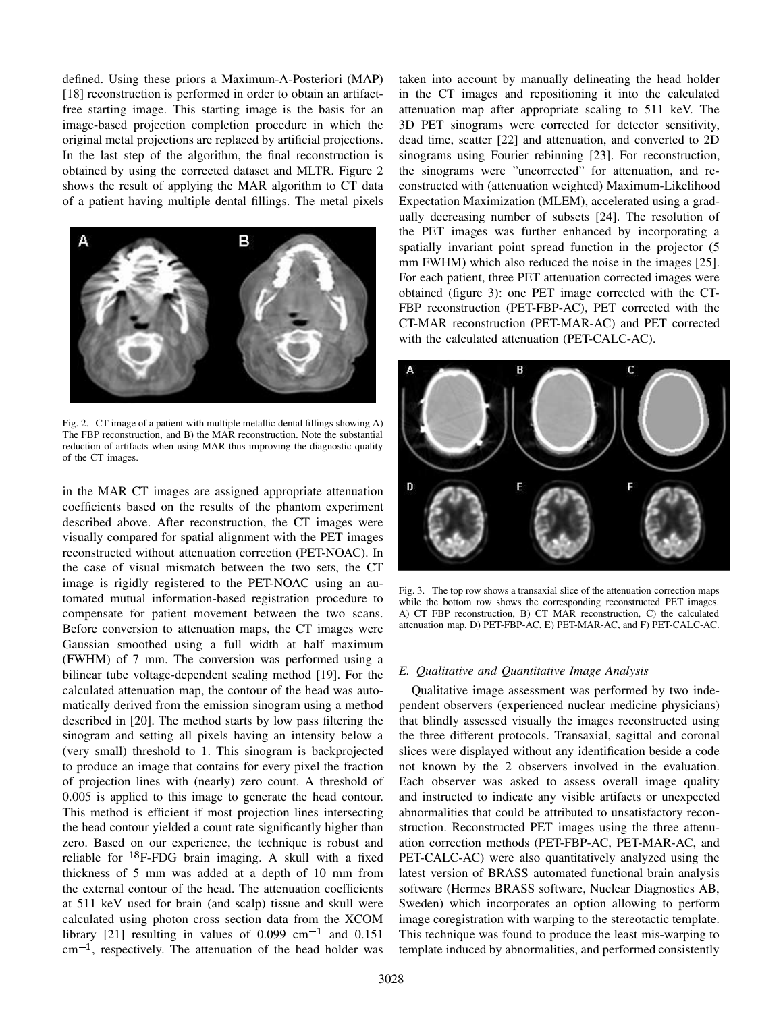defined. Using these priors a Maximum-A-Posteriori (MAP) [18] reconstruction is performed in order to obtain an artifactfree starting image. This starting image is the basis for an image-based projection completion procedure in which the original metal projections are replaced by artificial projections. In the last step of the algorithm, the final reconstruction is obtained by using the corrected dataset and MLTR. Figure 2 shows the result of applying the MAR algorithm to CT data of a patient having multiple dental fillings. The metal pixels



Fig. 2. CT image of a patient with multiple metallic dental fillings showing A) The FBP reconstruction, and B) the MAR reconstruction. Note the substantial reduction of artifacts when using MAR thus improving the diagnostic quality of the CT images.

in the MAR CT images are assigned appropriate attenuation coefficients based on the results of the phantom experiment described above. After reconstruction, the CT images were visually compared for spatial alignment with the PET images reconstructed without attenuation correction (PET-NOAC). In the case of visual mismatch between the two sets, the CT image is rigidly registered to the PET-NOAC using an automated mutual information-based registration procedure to compensate for patient movement between the two scans. Before conversion to attenuation maps, the CT images were Gaussian smoothed using a full width at half maximum (FWHM) of 7 mm. The conversion was performed using a bilinear tube voltage-dependent scaling method [19]. For the calculated attenuation map, the contour of the head was automatically derived from the emission sinogram using a method described in [20]. The method starts by low pass filtering the sinogram and setting all pixels having an intensity below a (very small) threshold to 1. This sinogram is backprojected to produce an image that contains for every pixel the fraction of projection lines with (nearly) zero count. A threshold of 0.005 is applied to this image to generate the head contour. This method is efficient if most projection lines intersecting the head contour yielded a count rate significantly higher than zero. Based on our experience, the technique is robust and reliable for  $^{18}F$ -FDG brain imaging. A skull with a fixed thickness of 5 mm was added at a depth of 10 mm from the external contour of the head. The attenuation coefficients at 511 keV used for brain (and scalp) tissue and skull were calculated using photon cross section data from the XCOM library [21] resulting in values of 0.099 cm<sup>-1</sup> and 0.151  $cm<sup>-1</sup>$ , respectively. The attenuation of the head holder was

taken into account by manually delineating the head holder in the CT images and repositioning it into the calculated attenuation map after appropriate scaling to 511 keV. The 3D PET sinograms were corrected for detector sensitivity, dead time, scatter [22] and attenuation, and converted to 2D sinograms using Fourier rebinning [23]. For reconstruction, the sinograms were "uncorrected" for attenuation, and reconstructed with (attenuation weighted) Maximum-Likelihood Expectation Maximization (MLEM), accelerated using a gradually decreasing number of subsets [24]. The resolution of the PET images was further enhanced by incorporating a spatially invariant point spread function in the projector (5 mm FWHM) which also reduced the noise in the images [25]. For each patient, three PET attenuation corrected images were obtained (figure 3): one PET image corrected with the CT-FBP reconstruction (PET-FBP-AC), PET corrected with the CT-MAR reconstruction (PET-MAR-AC) and PET corrected with the calculated attenuation (PET-CALC-AC).



Fig. 3. The top row shows a transaxial slice of the attenuation correction maps while the bottom row shows the corresponding reconstructed PET images. A) CT FBP reconstruction, B) CT MAR reconstruction, C) the calculated attenuation map, D) PET-FBP-AC, E) PET-MAR-AC, and F) PET-CALC-AC.

## *E. Qualitative and Quantitative Image Analysis*

Qualitative image assessment was performed by two independent observers (experienced nuclear medicine physicians) that blindly assessed visually the images reconstructed using the three different protocols. Transaxial, sagittal and coronal slices were displayed without any identification beside a code not known by the 2 observers involved in the evaluation. Each observer was asked to assess overall image quality and instructed to indicate any visible artifacts or unexpected abnormalities that could be attributed to unsatisfactory reconstruction. Reconstructed PET images using the three attenuation correction methods (PET-FBP-AC, PET-MAR-AC, and PET-CALC-AC) were also quantitatively analyzed using the latest version of BRASS automated functional brain analysis software (Hermes BRASS software, Nuclear Diagnostics AB, Sweden) which incorporates an option allowing to perform image coregistration with warping to the stereotactic template. This technique was found to produce the least mis-warping to template induced by abnormalities, and performed consistently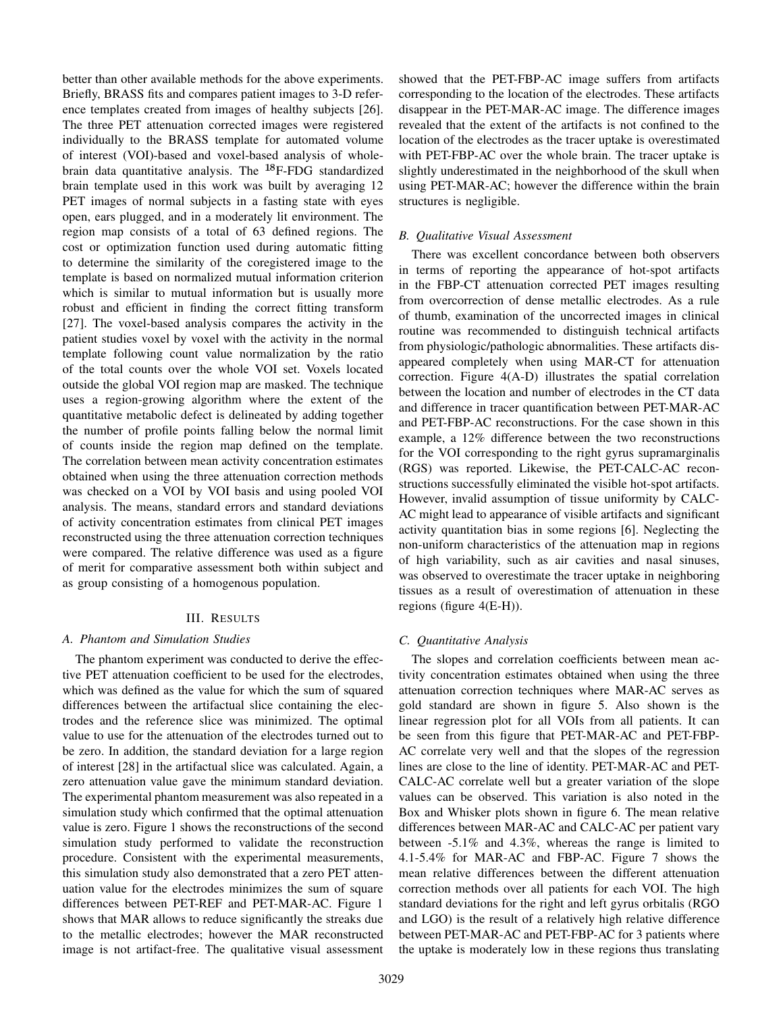better than other available methods for the above experiments. Briefly, BRASS fits and compares patient images to 3-D reference templates created from images of healthy subjects [26]. The three PET attenuation corrected images were registered individually to the BRASS template for automated volume of interest (VOI)-based and voxel-based analysis of wholebrain data quantitative analysis. The  $^{18}$ F-FDG standardized brain template used in this work was built by averaging 12 PET images of normal subjects in a fasting state with eyes open, ears plugged, and in a moderately lit environment. The region map consists of a total of 63 defined regions. The cost or optimization function used during automatic fitting to determine the similarity of the coregistered image to the template is based on normalized mutual information criterion which is similar to mutual information but is usually more robust and efficient in finding the correct fitting transform [27]. The voxel-based analysis compares the activity in the patient studies voxel by voxel with the activity in the normal template following count value normalization by the ratio of the total counts over the whole VOI set. Voxels located outside the global VOI region map are masked. The technique uses a region-growing algorithm where the extent of the quantitative metabolic defect is delineated by adding together the number of profile points falling below the normal limit of counts inside the region map defined on the template. The correlation between mean activity concentration estimates obtained when using the three attenuation correction methods was checked on a VOI by VOI basis and using pooled VOI analysis. The means, standard errors and standard deviations of activity concentration estimates from clinical PET images reconstructed using the three attenuation correction techniques were compared. The relative difference was used as a figure of merit for comparative assessment both within subject and as group consisting of a homogenous population.

# III. RESULTS

## *A. Phantom and Simulation Studies*

The phantom experiment was conducted to derive the effective PET attenuation coefficient to be used for the electrodes, which was defined as the value for which the sum of squared differences between the artifactual slice containing the electrodes and the reference slice was minimized. The optimal value to use for the attenuation of the electrodes turned out to be zero. In addition, the standard deviation for a large region of interest [28] in the artifactual slice was calculated. Again, a zero attenuation value gave the minimum standard deviation. The experimental phantom measurement was also repeated in a simulation study which confirmed that the optimal attenuation value is zero. Figure 1 shows the reconstructions of the second simulation study performed to validate the reconstruction procedure. Consistent with the experimental measurements, this simulation study also demonstrated that a zero PET attenuation value for the electrodes minimizes the sum of square differences between PET-REF and PET-MAR-AC. Figure 1 shows that MAR allows to reduce significantly the streaks due to the metallic electrodes; however the MAR reconstructed image is not artifact-free. The qualitative visual assessment showed that the PET-FBP-AC image suffers from artifacts corresponding to the location of the electrodes. These artifacts disappear in the PET-MAR-AC image. The difference images revealed that the extent of the artifacts is not confined to the location of the electrodes as the tracer uptake is overestimated with PET-FBP-AC over the whole brain. The tracer uptake is slightly underestimated in the neighborhood of the skull when using PET-MAR-AC; however the difference within the brain structures is negligible.

# *B. Qualitative Visual Assessment*

There was excellent concordance between both observers in terms of reporting the appearance of hot-spot artifacts in the FBP-CT attenuation corrected PET images resulting from overcorrection of dense metallic electrodes. As a rule of thumb, examination of the uncorrected images in clinical routine was recommended to distinguish technical artifacts from physiologic/pathologic abnormalities. These artifacts disappeared completely when using MAR-CT for attenuation correction. Figure 4(A-D) illustrates the spatial correlation between the location and number of electrodes in the CT data and difference in tracer quantification between PET-MAR-AC and PET-FBP-AC reconstructions. For the case shown in this example, a 12% difference between the two reconstructions for the VOI corresponding to the right gyrus supramarginalis (RGS) was reported. Likewise, the PET-CALC-AC reconstructions successfully eliminated the visible hot-spot artifacts. However, invalid assumption of tissue uniformity by CALC-AC might lead to appearance of visible artifacts and significant activity quantitation bias in some regions [6]. Neglecting the non-uniform characteristics of the attenuation map in regions of high variability, such as air cavities and nasal sinuses, was observed to overestimate the tracer uptake in neighboring tissues as a result of overestimation of attenuation in these regions (figure 4(E-H)).

# *C. Quantitative Analysis*

The slopes and correlation coefficients between mean activity concentration estimates obtained when using the three attenuation correction techniques where MAR-AC serves as gold standard are shown in figure 5. Also shown is the linear regression plot for all VOIs from all patients. It can be seen from this figure that PET-MAR-AC and PET-FBP-AC correlate very well and that the slopes of the regression lines are close to the line of identity. PET-MAR-AC and PET-CALC-AC correlate well but a greater variation of the slope values can be observed. This variation is also noted in the Box and Whisker plots shown in figure 6. The mean relative differences between MAR-AC and CALC-AC per patient vary between -5.1% and 4.3%, whereas the range is limited to 4.1-5.4% for MAR-AC and FBP-AC. Figure 7 shows the mean relative differences between the different attenuation correction methods over all patients for each VOI. The high standard deviations for the right and left gyrus orbitalis (RGO and LGO) is the result of a relatively high relative difference between PET-MAR-AC and PET-FBP-AC for 3 patients where the uptake is moderately low in these regions thus translating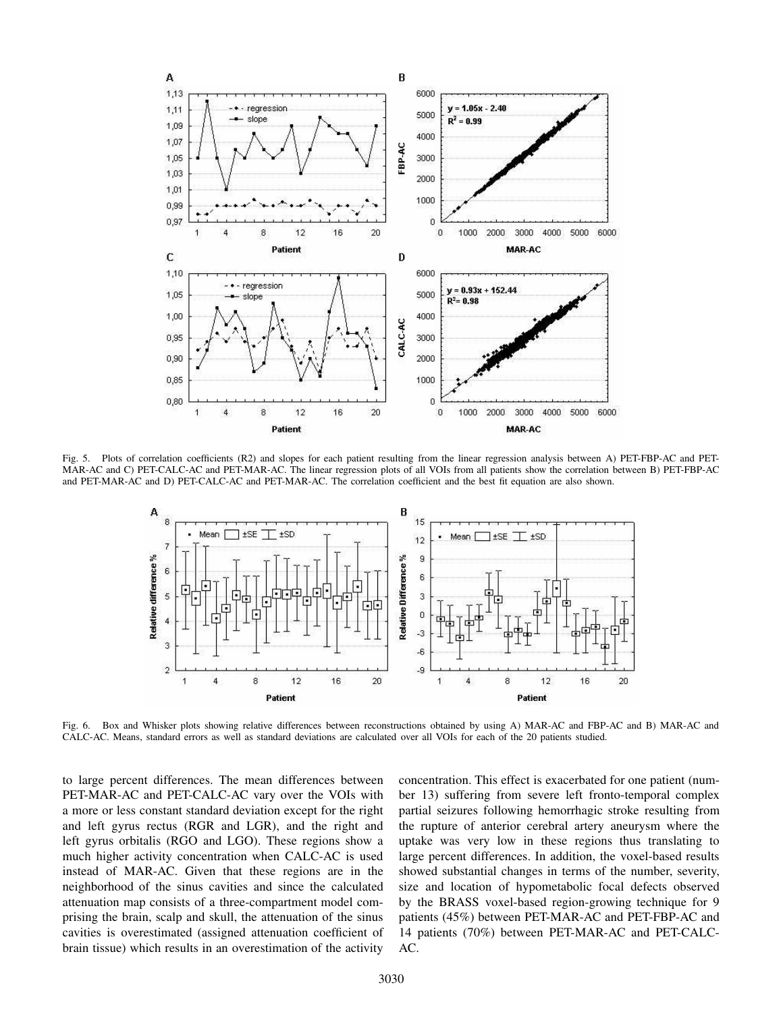

Fig. 5. Plots of correlation coefficients (R2) and slopes for each patient resulting from the linear regression analysis between A) PET-FBP-AC and PET-MAR-AC and C) PET-CALC-AC and PET-MAR-AC. The linear regression plots of all VOIs from all patients show the correlation between B) PET-FBP-AC and PET-MAR-AC and D) PET-CALC-AC and PET-MAR-AC. The correlation coefficient and the best fit equation are also shown.



Fig. 6. Box and Whisker plots showing relative differences between reconstructions obtained by using A) MAR-AC and FBP-AC and B) MAR-AC and CALC-AC. Means, standard errors as well as standard deviations are calculated over all VOIs for each of the 20 patients studied.

to large percent differences. The mean differences between PET-MAR-AC and PET-CALC-AC vary over the VOIs with a more or less constant standard deviation except for the right and left gyrus rectus (RGR and LGR), and the right and left gyrus orbitalis (RGO and LGO). These regions show a much higher activity concentration when CALC-AC is used instead of MAR-AC. Given that these regions are in the neighborhood of the sinus cavities and since the calculated attenuation map consists of a three-compartment model comprising the brain, scalp and skull, the attenuation of the sinus cavities is overestimated (assigned attenuation coefficient of brain tissue) which results in an overestimation of the activity

concentration. This effect is exacerbated for one patient (number 13) suffering from severe left fronto-temporal complex partial seizures following hemorrhagic stroke resulting from the rupture of anterior cerebral artery aneurysm where the uptake was very low in these regions thus translating to large percent differences. In addition, the voxel-based results showed substantial changes in terms of the number, severity, size and location of hypometabolic focal defects observed by the BRASS voxel-based region-growing technique for 9 patients (45%) between PET-MAR-AC and PET-FBP-AC and 14 patients (70%) between PET-MAR-AC and PET-CALC-AC.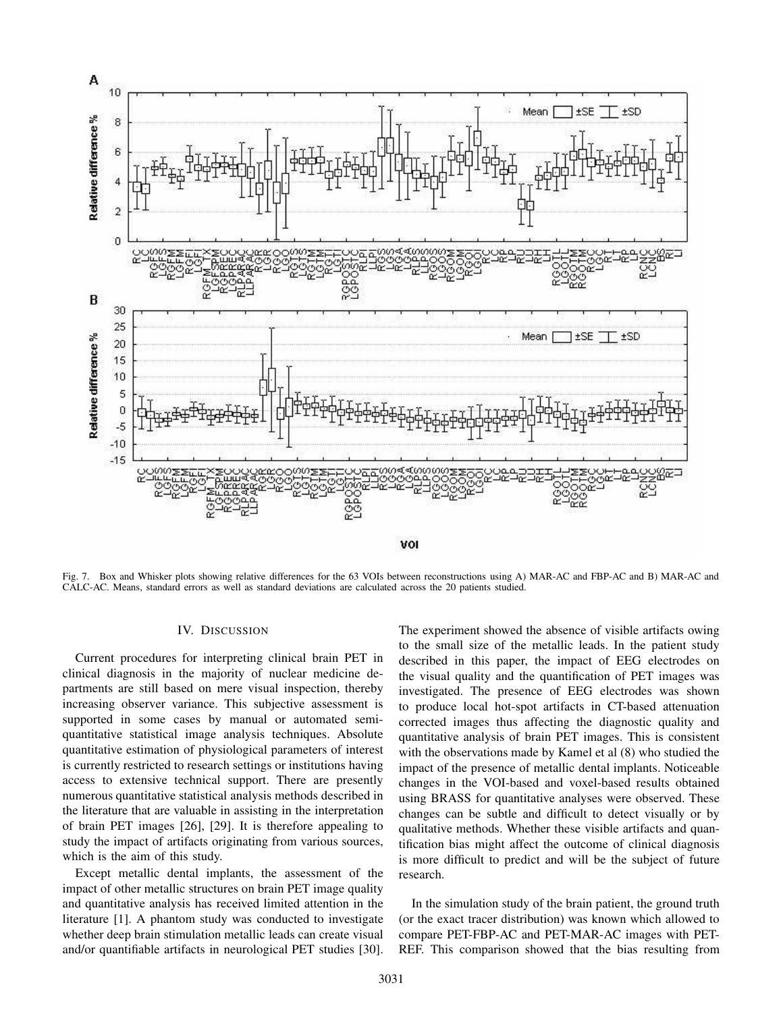

Fig. 7. Box and Whisker plots showing relative differences for the 63 VOIs between reconstructions using A) MAR-AC and FBP-AC and B) MAR-AC and CALC-AC. Means, standard errors as well as standard deviations are calculated across the 20 patients studied.

### IV. DISCUSSION

Current procedures for interpreting clinical brain PET in clinical diagnosis in the majority of nuclear medicine departments are still based on mere visual inspection, thereby increasing observer variance. This subjective assessment is supported in some cases by manual or automated semiquantitative statistical image analysis techniques. Absolute quantitative estimation of physiological parameters of interest is currently restricted to research settings or institutions having access to extensive technical support. There are presently numerous quantitative statistical analysis methods described in the literature that are valuable in assisting in the interpretation of brain PET images [26], [29]. It is therefore appealing to study the impact of artifacts originating from various sources, which is the aim of this study.

Except metallic dental implants, the assessment of the impact of other metallic structures on brain PET image quality and quantitative analysis has received limited attention in the literature [1]. A phantom study was conducted to investigate whether deep brain stimulation metallic leads can create visual and/or quantifiable artifacts in neurological PET studies [30]. The experiment showed the absence of visible artifacts owing to the small size of the metallic leads. In the patient study described in this paper, the impact of EEG electrodes on the visual quality and the quantification of PET images was investigated. The presence of EEG electrodes was shown to produce local hot-spot artifacts in CT-based attenuation corrected images thus affecting the diagnostic quality and quantitative analysis of brain PET images. This is consistent with the observations made by Kamel et al (8) who studied the impact of the presence of metallic dental implants. Noticeable changes in the VOI-based and voxel-based results obtained using BRASS for quantitative analyses were observed. These changes can be subtle and difficult to detect visually or by qualitative methods. Whether these visible artifacts and quantification bias might affect the outcome of clinical diagnosis is more difficult to predict and will be the subject of future research.

In the simulation study of the brain patient, the ground truth (or the exact tracer distribution) was known which allowed to compare PET-FBP-AC and PET-MAR-AC images with PET-REF. This comparison showed that the bias resulting from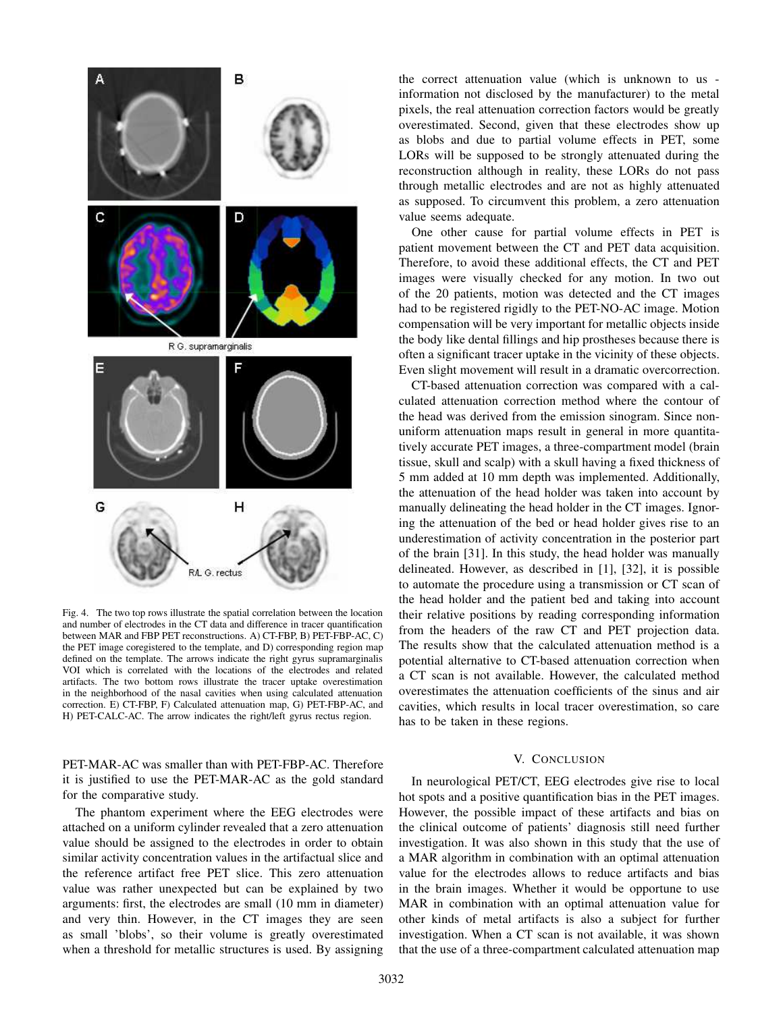

Fig. 4. The two top rows illustrate the spatial correlation between the location and number of electrodes in the CT data and difference in tracer quantification between MAR and FBP PET reconstructions. A) CT-FBP, B) PET-FBP-AC, C) the PET image coregistered to the template, and D) corresponding region map defined on the template. The arrows indicate the right gyrus supramarginalis VOI which is correlated with the locations of the electrodes and related artifacts. The two bottom rows illustrate the tracer uptake overestimation in the neighborhood of the nasal cavities when using calculated attenuation correction. E) CT-FBP, F) Calculated attenuation map, G) PET-FBP-AC, and H) PET-CALC-AC. The arrow indicates the right/left gyrus rectus region.

PET-MAR-AC was smaller than with PET-FBP-AC. Therefore it is justified to use the PET-MAR-AC as the gold standard for the comparative study.

The phantom experiment where the EEG electrodes were attached on a uniform cylinder revealed that a zero attenuation value should be assigned to the electrodes in order to obtain similar activity concentration values in the artifactual slice and the reference artifact free PET slice. This zero attenuation value was rather unexpected but can be explained by two arguments: first, the electrodes are small (10 mm in diameter) and very thin. However, in the CT images they are seen as small 'blobs', so their volume is greatly overestimated when a threshold for metallic structures is used. By assigning the correct attenuation value (which is unknown to us information not disclosed by the manufacturer) to the metal pixels, the real attenuation correction factors would be greatly overestimated. Second, given that these electrodes show up as blobs and due to partial volume effects in PET, some LORs will be supposed to be strongly attenuated during the reconstruction although in reality, these LORs do not pass through metallic electrodes and are not as highly attenuated as supposed. To circumvent this problem, a zero attenuation value seems adequate.

One other cause for partial volume effects in PET is patient movement between the CT and PET data acquisition. Therefore, to avoid these additional effects, the CT and PET images were visually checked for any motion. In two out of the 20 patients, motion was detected and the CT images had to be registered rigidly to the PET-NO-AC image. Motion compensation will be very important for metallic objects inside the body like dental fillings and hip prostheses because there is often a significant tracer uptake in the vicinity of these objects. Even slight movement will result in a dramatic overcorrection.

CT-based attenuation correction was compared with a calculated attenuation correction method where the contour of the head was derived from the emission sinogram. Since nonuniform attenuation maps result in general in more quantitatively accurate PET images, a three-compartment model (brain tissue, skull and scalp) with a skull having a fixed thickness of 5 mm added at 10 mm depth was implemented. Additionally, the attenuation of the head holder was taken into account by manually delineating the head holder in the CT images. Ignoring the attenuation of the bed or head holder gives rise to an underestimation of activity concentration in the posterior part of the brain [31]. In this study, the head holder was manually delineated. However, as described in [1], [32], it is possible to automate the procedure using a transmission or CT scan of the head holder and the patient bed and taking into account their relative positions by reading corresponding information from the headers of the raw CT and PET projection data. The results show that the calculated attenuation method is a potential alternative to CT-based attenuation correction when a CT scan is not available. However, the calculated method overestimates the attenuation coefficients of the sinus and air cavities, which results in local tracer overestimation, so care has to be taken in these regions.

### V. CONCLUSION

In neurological PET/CT, EEG electrodes give rise to local hot spots and a positive quantification bias in the PET images. However, the possible impact of these artifacts and bias on the clinical outcome of patients' diagnosis still need further investigation. It was also shown in this study that the use of a MAR algorithm in combination with an optimal attenuation value for the electrodes allows to reduce artifacts and bias in the brain images. Whether it would be opportune to use MAR in combination with an optimal attenuation value for other kinds of metal artifacts is also a subject for further investigation. When a CT scan is not available, it was shown that the use of a three-compartment calculated attenuation map